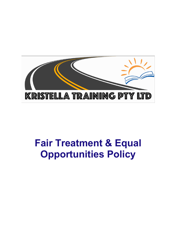

# **Fair Treatment & Equal Opportunities Policy**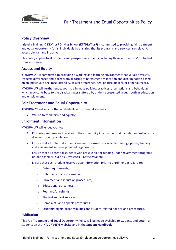

# **Policy Overview**

Kristella Training & DRV4LYF Driving School (**KT/DRV4LYF**) is committed to providing fair treatment and equal opportunity for all individuals by ensuring that its programs and services are relevant, accessible, fair and inclusive.

This policy applies to all students and prospective students, including those entitled to VET Student Loan assistance.

## **Access and Equity**

**KT/DRV4LYF** is committed to providing a working and learning environment that values diversity, respects differences and is free from all forms of harassment, vilification and discrimination based on an individual's sex, race, disability, sexual preference, age, political beliefs, or criminal record.

**KT/DRV4LYF** will further endeavour to eliminate policies, practices, assumptions and behaviours which may contribute to the disadvantages suffered by under-represented groups both in education and employment.

## **Fair Treatment and Equal Opportunity**

**KT/DRV4LYF** will ensure that all students and potential students:

• Will be treated fairly and equally;

#### **Enrolment Information**

**KT/DRV4LYF** will endeavour to:

- 1. Promote programs and services to the community in a manner that includes and reflects the diverse student population.
- 2. Ensure that all potential students are well informed on available training options, training and assessment services provided organisation.
- 3. Ensure that all potential students who are eligible for funding under government programs or loan schemes, such as DrivesafeNT, Keys2Drive etc.
- 4. Ensure that each student receives clear information prior to enrolment in regard to:
	- o Entry requirements;
	- o Published course information;
	- o Enrolment and induction procedures;
	- o Educational outcomes;
	- o Fees and/or refunds;
	- o Student support services;
	- o Complaints and appeals procedures;
	- $\circ$  Students' rights, responsibilities and student-related policies and procedures.

#### **Publication**

This Fair Treatment and Equal Opportunity Policy will be made available to students and potential students on the **KT/DRV4LYF** website and in the **Student Handbook**.